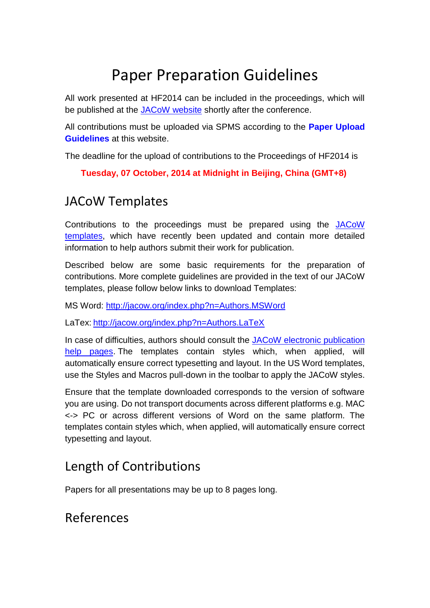# Paper Preparation Guidelines

All work presented at HF2014 can be included in the proceedings, which will be published at the [JACoW website](http://www.jacow.org/) shortly after the conference.

All contributions must be uploaded via SPMS according to the **Paper Upload Guidelines** at this website.

The deadline for the upload of contributions to the Proceedings of HF2014 is

**Tuesday, 07 October, 2014 at Midnight in Beijing, China (GMT+8)**

## JACoW Templates

Contributions to the proceedings must be prepared using the [JACoW](http://jacow.org/index.php?n=Authors.HomePage)  [templates,](http://jacow.org/index.php?n=Authors.HomePage) which have recently been updated and contain more detailed information to help authors submit their work for publication.

Described below are some basic requirements for the preparation of contributions. More complete guidelines are provided in the text of our JACoW templates, please follow below links to download Templates:

MS Word:<http://jacow.org/index.php?n=Authors.MSWord>

LaTex: <http://jacow.org/index.php?n=Authors.LaTeX>

In case of difficulties, authors should consult the [JACoW electronic publication](http://accelconf.web.cern.ch/accelconf/jacow/help/help.htm)  [help pages.](http://accelconf.web.cern.ch/accelconf/jacow/help/help.htm) The templates contain styles which, when applied, will automatically ensure correct typesetting and layout. In the US Word templates, use the Styles and Macros pull-down in the toolbar to apply the JACoW styles.

Ensure that the template downloaded corresponds to the version of software you are using. Do not transport documents across different platforms e.g. MAC <-> PC or across different versions of Word on the same platform. The templates contain styles which, when applied, will automatically ensure correct typesetting and layout.

## Length of Contributions

Papers for all presentations may be up to 8 pages long.

## References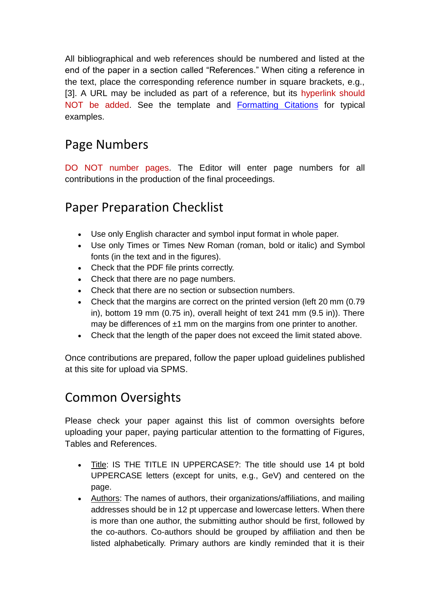All bibliographical and web references should be numbered and listed at the end of the paper in a section called "References." When citing a reference in the text, place the corresponding reference number in square brackets, e.g., [3]. A URL may be included as part of a reference, but its hyperlink should NOT be added. See the template and [Formatting Citations](http://www.jacow.org/index.php?n=Authors.FormattingCitations) for typical examples.

#### Page Numbers

DO NOT number pages. The Editor will enter page numbers for all contributions in the production of the final proceedings.

#### Paper Preparation Checklist

- Use only English character and symbol input format in whole paper.
- Use only Times or Times New Roman (roman, bold or italic) and Symbol fonts (in the text and in the figures).
- Check that the PDF file prints correctly.
- Check that there are no page numbers.
- Check that there are no section or subsection numbers.
- Check that the margins are correct on the printed version (left 20 mm (0.79 in), bottom 19 mm (0.75 in), overall height of text 241 mm (9.5 in)). There may be differences of ±1 mm on the margins from one printer to another.
- Check that the length of the paper does not exceed the limit stated above.

Once contributions are prepared, follow the paper upload guidelines published at this site for upload via SPMS.

#### Common Oversights

Please check your paper against this list of common oversights before uploading your paper, paying particular attention to the formatting of Figures, Tables and References.

- Title: IS THE TITLE IN UPPERCASE?: The title should use 14 pt bold UPPERCASE letters (except for units, e.g., GeV) and centered on the page.
- Authors: The names of authors, their organizations/affiliations, and mailing addresses should be in 12 pt uppercase and lowercase letters. When there is more than one author, the submitting author should be first, followed by the co-authors. Co-authors should be grouped by affiliation and then be listed alphabetically. Primary authors are kindly reminded that it is their